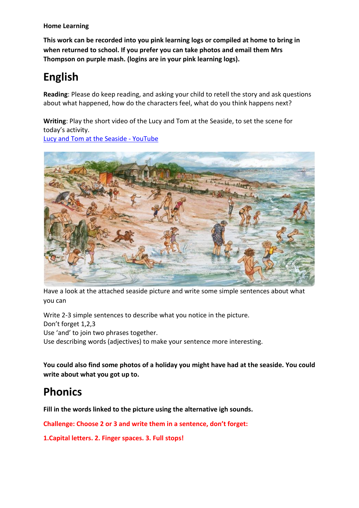**Home Learning**

**This work can be recorded into you pink learning logs or compiled at home to bring in when returned to school. If you prefer you can take photos and email them Mrs Thompson on purple mash. (logins are in your pink learning logs).**

# **English**

**Reading**: Please do keep reading, and asking your child to retell the story and ask questions about what happened, how do the characters feel, what do you think happens next?

**Writing**: Play the short video of the Lucy and Tom at the Seaside, to set the scene for today's activity.

Lucy and Tom at the Seaside - [YouTube](https://www.youtube.com/watch?v=ZAzz_vMO1I8)



Have a look at the attached seaside picture and write some simple sentences about what you can

Write 2-3 simple sentences to describe what you notice in the picture. Don't forget 1,2,3 Use 'and' to join two phrases together.

Use describing words (adjectives) to make your sentence more interesting.

**You could also find some photos of a holiday you might have had at the seaside. You could write about what you got up to.** 

## **Phonics**

**Fill in the words linked to the picture using the alternative igh sounds.**

**Challenge: Choose 2 or 3 and write them in a sentence, don't forget:**

**1.Capital letters. 2. Finger spaces. 3. Full stops!**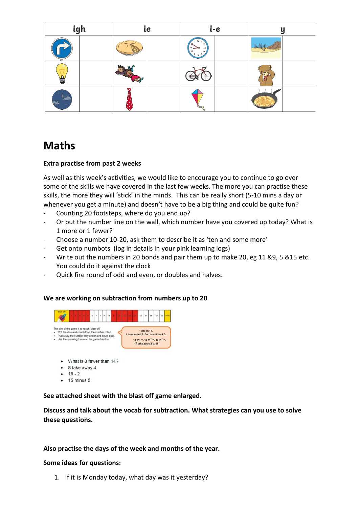| igh |  | ie |  | i-e |  | u |  |
|-----|--|----|--|-----|--|---|--|
|     |  |    |  |     |  |   |  |
| E   |  |    |  |     |  |   |  |
|     |  |    |  |     |  |   |  |

## **Maths**

#### **Extra practise from past 2 weeks**

As well as this week's activities, we would like to encourage you to continue to go over some of the skills we have covered in the last few weeks. The more you can practise these skills, the more they will 'stick' in the minds. This can be really short (5-10 mins a day or whenever you get a minute) and doesn't have to be a big thing and could be quite fun?

- Counting 20 footsteps, where do you end up?
- Or put the number line on the wall, which number have you covered up today? What is 1 more or 1 fewer?
- Choose a number 10-20, ask them to describe it as 'ten and some more'
- Get onto numbots (log in details in your pink learning logs)
- Write out the numbers in 20 bonds and pair them up to make 20, eg 11 &9, 5 &15 etc. You could do it against the clock
- Quick fire round of odd and even, or doubles and halves.

#### **We are working on subtraction from numbers up to 20**



- $-18-2$
- $\bullet$  15 minus 5

**See attached sheet with the blast off game enlarged.**

**Discuss and talk about the vocab for subtraction. What strategies can you use to solve these questions.**

#### **Also practise the days of the week and months of the year.**

#### **Some ideas for questions:**

1. If it is Monday today, what day was it yesterday?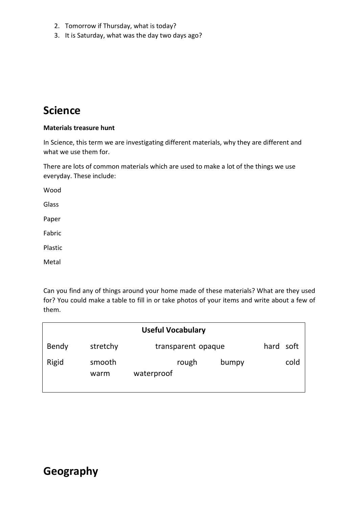- 2. Tomorrow if Thursday, what is today?
- 3. It is Saturday, what was the day two days ago?

### **Science**

#### **Materials treasure hunt**

In Science, this term we are investigating different materials, why they are different and what we use them for.

There are lots of common materials which are used to make a lot of the things we use everyday. These include:

Wood Glass

Paper

Fabric

Plastic

Metal

Can you find any of things around your home made of these materials? What are they used for? You could make a table to fill in or take photos of your items and write about a few of them.

| <b>Useful Vocabulary</b> |                |                              |           |  |  |  |
|--------------------------|----------------|------------------------------|-----------|--|--|--|
| Bendy                    | stretchy       | transparent opaque           | hard soft |  |  |  |
| Rigid                    | smooth<br>warm | rough<br>bumpy<br>waterproof | cold      |  |  |  |

## **Geography**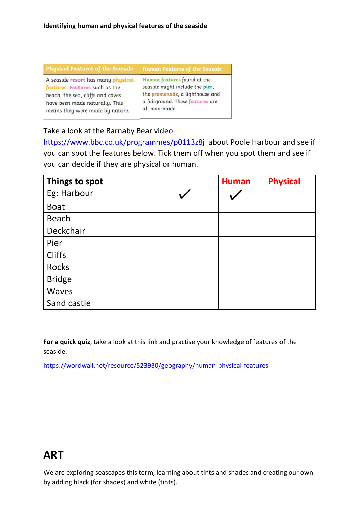| <b>Physical Features of the Seaside</b> | <b>Human Features of the Seaside</b> |
|-----------------------------------------|--------------------------------------|
| A seaside resort has many physical      | Human features found at the          |
| features. Features such as the          | seaside might include the pier,      |
| beach, the sea, cliffs and caves        | the promenade, a lighthouse and      |
| have been made naturally. This          | a fairground. These features are     |
| means they were made by nature.         | all man-made.                        |

### Take a look at the Barnaby Bear video

<https://www.bbc.co.uk/programmes/p0113z8j>about Poole Harbour and see if you can spot the features below. Tick them off when you spot them and see if you can decide if they are physical or human.

| Things to spot | <b>Human</b> | <b>Physical</b> |
|----------------|--------------|-----------------|
| Eg: Harbour    |              |                 |
| <b>Boat</b>    |              |                 |
| <b>Beach</b>   |              |                 |
| Deckchair      |              |                 |
| Pier           |              |                 |
| <b>Cliffs</b>  |              |                 |
| <b>Rocks</b>   |              |                 |
| <b>Bridge</b>  |              |                 |
| Waves          |              |                 |
| Sand castle    |              |                 |

**For a quick quiz**, take a look at this link and practise your knowledge of features of the seaside.

<https://wordwall.net/resource/523930/geography/human-physical-features>

### **ART**

We are exploring seascapes this term, learning about tints and shades and creating our own by adding black (for shades) and white (tints).